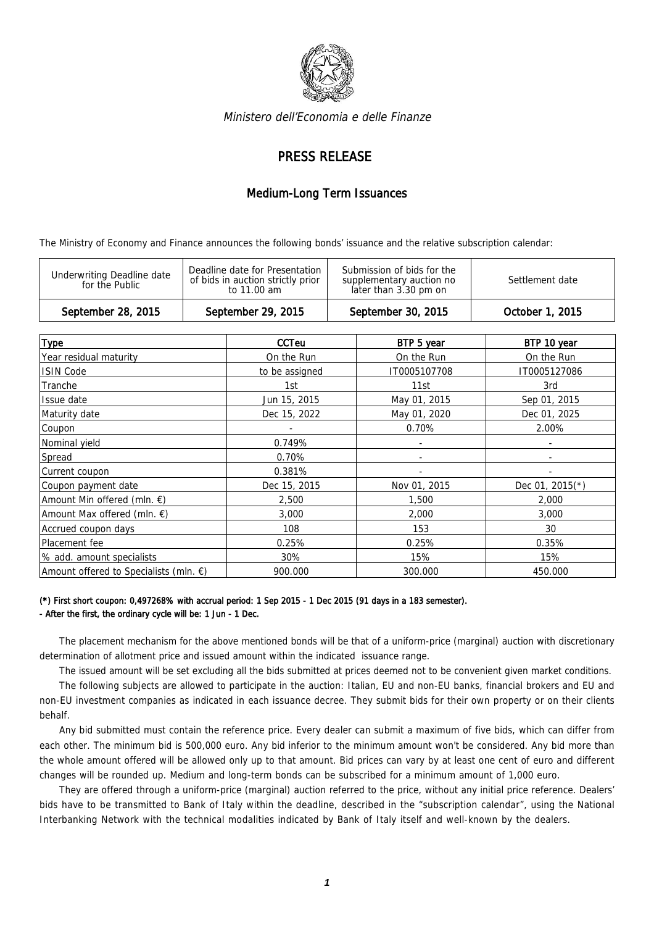

Ministero dell'Economia e delle Finanze

## PRESS RELEASE

## Medium-Long Term Issuances

The Ministry of Economy and Finance announces the following bonds' issuance and the relative subscription calendar:

| September 28, 2015                                  | September 29, 2015                                                                 | September 30, 2015<br>October 1, 2015                                                              |
|-----------------------------------------------------|------------------------------------------------------------------------------------|----------------------------------------------------------------------------------------------------|
| <b>Underwriting Deadline date</b><br>for the Public | Deadline date for Presentation<br>of bids in auction strictly prior<br>to 11.00 am | Submission of bids for the<br>Settlement date<br>supplementary auction no<br>later than 3.30 pm on |

|                                                  | <b>CCTeu</b>   | BTP 5 year   | BTP 10 year       |
|--------------------------------------------------|----------------|--------------|-------------------|
| <b>Type</b>                                      |                |              |                   |
| Year residual maturity                           | On the Run     | On the Run   | On the Run        |
| <b>ISIN Code</b>                                 | to be assigned | IT0005107708 | IT0005127086      |
| Tranche                                          | 1st            | 11st         | 3rd               |
| Issue date                                       | Jun 15, 2015   | May 01, 2015 | Sep 01, 2015      |
| Maturity date                                    | Dec 15, 2022   | May 01, 2020 | Dec 01, 2025      |
| Coupon                                           |                | 0.70%        | 2.00%             |
| Nominal yield                                    | 0.749%         | ٠            | ٠                 |
| Spread                                           | 0.70%          |              |                   |
| Current coupon                                   | 0.381%         |              |                   |
| Coupon payment date                              | Dec 15, 2015   | Nov 01, 2015 | Dec 01, $2015(*)$ |
| Amount Min offered (mln. $\epsilon$ )            | 2,500          | 1,500        | 2,000             |
| Amount Max offered (mln. $\epsilon$ )            | 3,000          | 2,000        | 3,000             |
| Accrued coupon days                              | 108            | 153          | 30                |
| Placement fee                                    | 0.25%          | 0.25%        | 0.35%             |
| % add. amount specialists                        | 30%            | 15%          | 15%               |
| Amount offered to Specialists (mln. $\epsilon$ ) | 900.000        | 300.000      | 450.000           |

## (\*) First short coupon: 0,497268% with accrual period: 1 Sep 2015 - 1 Dec 2015 (91 days in a 183 semester). - After the first, the ordinary cycle will be: 1 Jun - 1 Dec.

The placement mechanism for the above mentioned bonds will be that of a uniform-price (marginal) auction with discretionary determination of allotment price and issued amount within the indicated issuance range.

The issued amount will be set excluding all the bids submitted at prices deemed not to be convenient given market conditions.

The following subjects are allowed to participate in the auction: Italian, EU and non-EU banks, financial brokers and EU and non-EU investment companies as indicated in each issuance decree. They submit bids for their own property or on their clients behalf.

Any bid submitted must contain the reference price. Every dealer can submit a maximum of five bids, which can differ from each other. The minimum bid is 500,000 euro. Any bid inferior to the minimum amount won't be considered. Any bid more than the whole amount offered will be allowed only up to that amount. Bid prices can vary by at least one cent of euro and different changes will be rounded up. Medium and long-term bonds can be subscribed for a minimum amount of 1,000 euro.

They are offered through a uniform-price (marginal) auction referred to the price, without any initial price reference. Dealers' bids have to be transmitted to Bank of Italy within the deadline, described in the "subscription calendar", using the National Interbanking Network with the technical modalities indicated by Bank of Italy itself and well-known by the dealers.